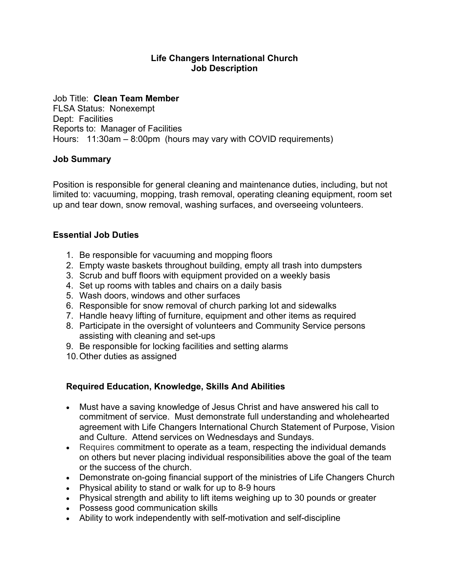## **Life Changers International Church Job Description**

Job Title: **Clean Team Member** FLSA Status: Nonexempt Dept: Facilities Reports to: Manager of Facilities Hours: 11:30am – 8:00pm (hours may vary with COVID requirements)

## **Job Summary**

Position is responsible for general cleaning and maintenance duties, including, but not limited to: vacuuming, mopping, trash removal, operating cleaning equipment, room set up and tear down, snow removal, washing surfaces, and overseeing volunteers.

## **Essential Job Duties**

- 1. Be responsible for vacuuming and mopping floors
- 2. Empty waste baskets throughout building, empty all trash into dumpsters
- 3. Scrub and buff floors with equipment provided on a weekly basis
- 4. Set up rooms with tables and chairs on a daily basis
- 5. Wash doors, windows and other surfaces
- 6. Responsible for snow removal of church parking lot and sidewalks
- 7. Handle heavy lifting of furniture, equipment and other items as required
- 8. Participate in the oversight of volunteers and Community Service persons assisting with cleaning and set-ups
- 9. Be responsible for locking facilities and setting alarms
- 10.Other duties as assigned

## **Required Education, Knowledge, Skills And Abilities**

- Must have a saving knowledge of Jesus Christ and have answered his call to commitment of service. Must demonstrate full understanding and wholehearted agreement with Life Changers International Church Statement of Purpose, Vision and Culture. Attend services on Wednesdays and Sundays.
- Requires commitment to operate as a team, respecting the individual demands on others but never placing individual responsibilities above the goal of the team or the success of the church.
- Demonstrate on-going financial support of the ministries of Life Changers Church
- Physical ability to stand or walk for up to 8-9 hours
- Physical strength and ability to lift items weighing up to 30 pounds or greater
- Possess good communication skills
- Ability to work independently with self-motivation and self-discipline